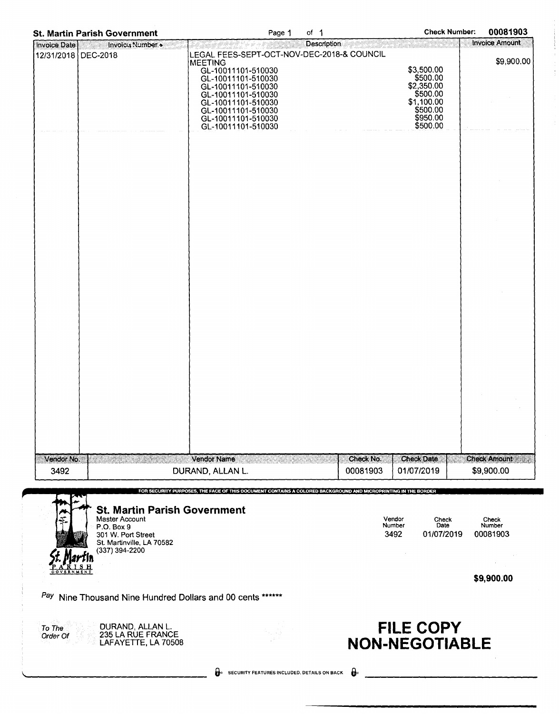| <b>St. Martin Parish Government</b>                               | of $1$<br>Page 1                                                                                               | <b>Check Number:</b>              | 00081903              |
|-------------------------------------------------------------------|----------------------------------------------------------------------------------------------------------------|-----------------------------------|-----------------------|
| Invoice Date<br>Involces Number »<br>12/31/2018 DEC-2018          | Description<br>LEGAL FEES-SEPT-OCT-NOV-DEC-2018-& COUNCIL                                                      |                                   | <b>Invoice Amount</b> |
|                                                                   | <b>MEETING</b><br>GL-10011101-510030                                                                           | \$3,500.00                        | \$9,900.00            |
|                                                                   | GL-10011101-510030<br>GL-10011101-510030                                                                       | \$500.00<br>\$2,350.00            |                       |
|                                                                   | GL-10011101-510030<br>GL-10011101-510030                                                                       | \$500.00<br>\$1,100.00            |                       |
|                                                                   | GL-10011101-510030<br>GL-10011101-510030<br>GL-10011101-510030                                                 | \$500.00<br>\$950.00<br>\$500.00  |                       |
|                                                                   |                                                                                                                |                                   |                       |
|                                                                   |                                                                                                                |                                   |                       |
|                                                                   |                                                                                                                |                                   |                       |
|                                                                   |                                                                                                                |                                   |                       |
|                                                                   |                                                                                                                |                                   |                       |
|                                                                   |                                                                                                                |                                   |                       |
|                                                                   |                                                                                                                |                                   |                       |
|                                                                   |                                                                                                                |                                   |                       |
|                                                                   |                                                                                                                |                                   |                       |
|                                                                   |                                                                                                                |                                   |                       |
|                                                                   |                                                                                                                |                                   |                       |
|                                                                   |                                                                                                                |                                   |                       |
|                                                                   |                                                                                                                |                                   |                       |
|                                                                   |                                                                                                                |                                   |                       |
|                                                                   |                                                                                                                |                                   |                       |
|                                                                   |                                                                                                                |                                   |                       |
|                                                                   |                                                                                                                |                                   |                       |
|                                                                   |                                                                                                                |                                   |                       |
| Vendor No.                                                        | <b>Vendor Name</b>                                                                                             | Check No.<br><b>Check Date</b>    | <b>Check Amount</b>   |
| 3492                                                              | DURAND, ALLAN L.                                                                                               | 00081903<br>01/07/2019            | \$9,900.00            |
|                                                                   | FOR SECURITY PURPOSES, THE FACE OF THIS DOCUMENT CONTAINS A COLORED BACKGROUND AND MICROPRINTING IN THE BORDER |                                   |                       |
| <b>St. Martin Parish Government</b>                               |                                                                                                                |                                   |                       |
| Master Account<br>P.O. Box 9                                      |                                                                                                                | Vendor<br>Check<br>Number<br>Date | Check<br>Number       |
| 301 W. Port Street<br>St. Martinville, LA 70582<br>(337) 394-2200 |                                                                                                                | 3492<br>01/07/2019                | 00081903              |
|                                                                   |                                                                                                                |                                   |                       |
|                                                                   |                                                                                                                |                                   | \$9,900.00            |
| Pay Nine Thousand Nine Hundred Dollars and 00 cents ******        |                                                                                                                |                                   |                       |
|                                                                   |                                                                                                                |                                   |                       |
| DURAND, ALLAN L.<br>To The<br>235 LA RUE FRANCE<br>Order Of       |                                                                                                                | <b>FILE COPY</b>                  |                       |
| LAFAYETTE, LA 70508                                               |                                                                                                                | <b>NON-NEGOTIABLE</b>             |                       |
|                                                                   | B۰<br>SECURITY FEATURES INCLUDED. DETAILS ON BACK                                                              | $\mathbf{e}$                      |                       |
|                                                                   |                                                                                                                |                                   |                       |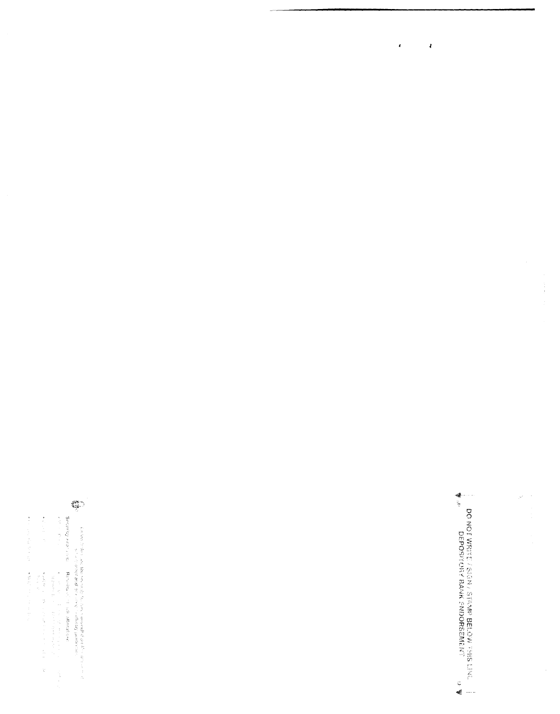◆ こうか 大の オブラ しゅめた コンコ キセン

is a contribution of the velocity of the converting one is the contribution of the contribution of  $\mathcal{L}_1$  is the contribution of the contribution of the contribution of the contribution of the contribution of the contr



 $\begin{array}{c}\n\bullet \\
\bullet \\
\bullet \\
\bullet\n\end{array}$ DO NOT WEITER ARE NEW ARRENT BELOW THIS LIKE THE TRANSPORTED BELOW AND CHANGE WERE ARRESTED FOR A STATE THAT THE ARREST AND ARREST AND A STATE THAT A STATE OF A STATE OF A STATE OF A STATE OF STATE OF A STATE OF STATE OF A ţ

 $\pmb{\epsilon}$ 

 $\bar{A}$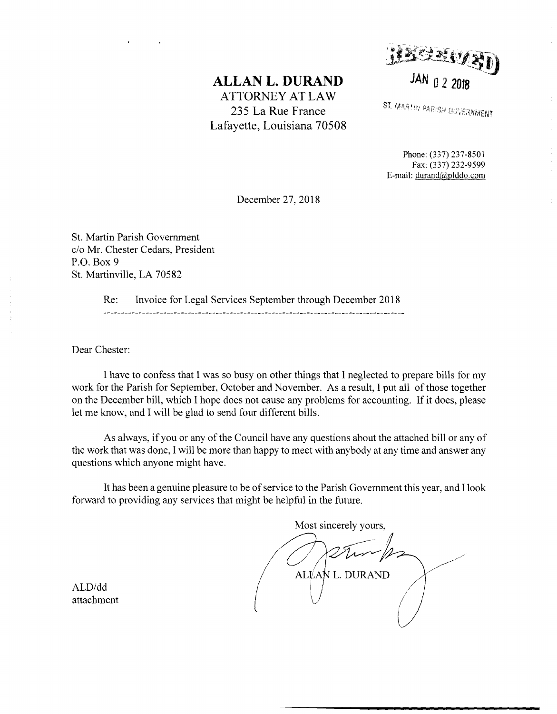### **ALLAN L. DURAND**

ATTORNEY ATLAW 235 La Rue France Lafayette, Louisiana 70508



ST. MARTIN PARISH GUVERNMENT

Phone: (337) 237-8501 Fax: (337) 232-9599 E-mail: durand@plddo.com

December 27, 2018

St. Martin Parish Government c/o Mr. Chester Cedars, President P.O. Box 9 St. Martinville, LA 70582

 $\mathcal{L}^{\pm}$ 

Re: Invoice for Legal Services September through December 2018 

Dear Chester:

I have to confess that I was so busy on other things that I neglected to prepare bills for my work for the Parish for September, October and November. As a result, I put all of those together on the December bill, which I hope does not cause any problems for accounting. If it does, please let me know, and I will be glad to send four different bills.

As always, if you or any of the Council have any questions about the attached bill or any of the work that was done, I will be more than happy to meet with anybody at any time and answer any questions which anyone might have.

It has been a genuine pleasure to be of service to the Parish Government this year, and I look forward to providing any services that might be helpful in the future.

Most sincerely yours,

ALLAN L. DURAND

ALD/dd attachment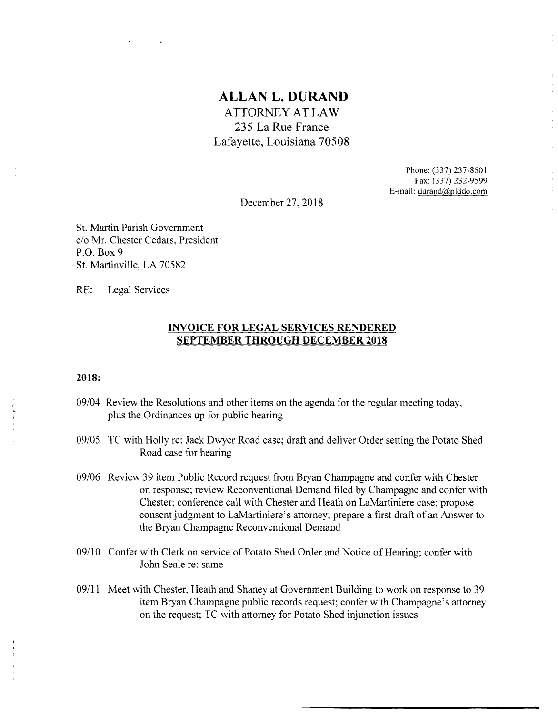### **ALLAN L. DURAND**  ATTORNEY AT LAW 235 La Rue France Lafayette, Louisiana 70508

Phone: (337) 237-8501 Fax: (337) 232-9599 E-mail: durand@plddo.com

December 27, 2018

St. Martin Parish Government c/o Mr. Chester Cedars, President P.O. Box 9 St. Martinville, LA 70582

 $\bullet$  . The simple  $\bullet$ 

RE: Legal Services

### **INVOICE FOR LEGAL SERVICES RENDERED SEPTEMBER THROUGH DECEMBER 2018**

### **2018:**

- 09/04 Review the Resolutions and other items on the agenda for the regular meeting today, plus the Ordinances up for public hearing
- 09/05 TC with Holly re: Jack Dwyer Road case; draft and deliver Order setting the Potato Shed Road case for hearing
- 09/06 Review 39 item Public Record request from Bryan Champagne and confer with Chester on response; review Reconventional Demand filed by Champagne and confer with Chester; conference call with Chester and Heath on LaMartiniere case; propose consent judgment to LaMartiniere's attorney; prepare a first draft of an Answer to the Bryan Champagne Reconventional Demand
- 09/10 Confer with Clerk on service of Potato Shed Order and Notice of Hearing; confer with John Seale re: same
- 09/11 Meet with Chester, Heath and Shaney at Government Building to work on response to 39 item Bryan Champagne public records request; confer with Champagne's attorney on the request; TC with attorney for Potato Shed injunction issues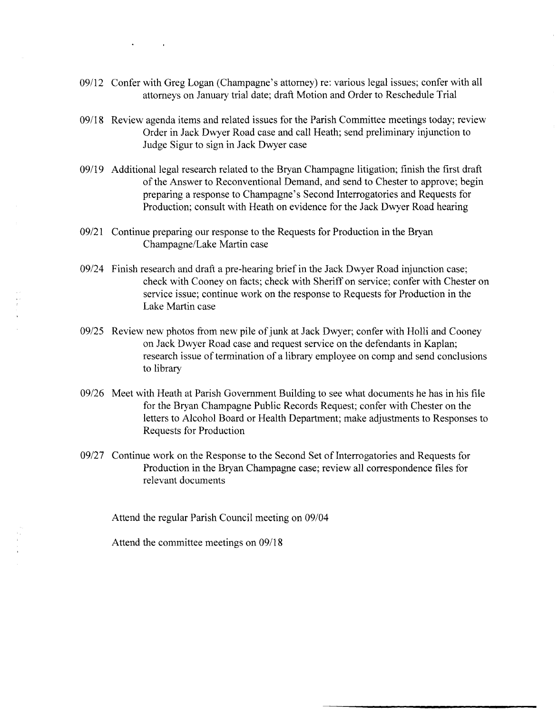- 09/12 Confer with Greg Logan (Champagne's attorney) re: various legal issues; confer with all attorneys on January trial date; draft Motion and Order to Reschedule Trial
- 09/18 Review agenda items and related issues for the Parish Committee meetings today; review Order in Jack Dwyer Road case and call Heath; send preliminary injunction to Judge Sigur to sign in Jack Dwyer case
- 09/19 Additional legal research related to the Bryan Champagne litigation; finish the first draft of the Answer to Reconventional Demand, and send to Chester to approve; begin preparing a response to Champagne's Second Interrogatories and Requests for Production; consult with Heath on evidence for the Jack Dwyer Road hearing
- 09/21 Continue preparing our response to the Requests for Production in the Bryan Champagne/Lake Martin case
- 09/24 Finish research and draft a pre-hearing brief in the Jack Dwyer Road injunction case; check with Cooney on facts; check with Sheriff on service; confer with Chester on service issue; continue work on the response to Requests for Production in the Lake Martin case
- 09/25 Review new photos from new pile of junk at Jack Dwyer; confer with Holli and Cooney on Jack Dwyer Road case and request service on the defendants in Kaplan; research issue of termination of a library employee on comp and send conclusions to library
- 09/26 Meet with Heath at Parish Government Building to see what documents he has in his file for the Bryan Champagne Public Records Request; confer with Chester on the letters to Alcohol Board or Health Department; make adjustments to Responses to Requests for Production
- 09/27 Continue work on the Response to the Second Set of Interrogatories and Requests for Production in the Bryan Champagne case; review all correspondence files for relevant documents

Attend the regular Parish Council meeting on 09/04

Attend the committee meetings on 09/18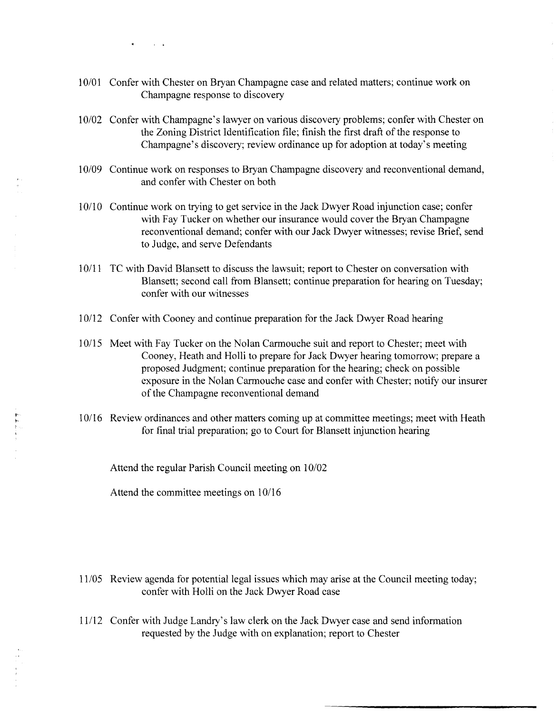10/01 Confer with Chester on Bryan Champagne case and related matters; continue work on Champagne response to discovery

 $\Phi_{\rm{eff}}$  and  $\Phi_{\rm{eff}}$  and  $\Phi_{\rm{eff}}$ 

- 10/02 Confer with Champagne's lawyer on various discovery problems; confer with Chester on the Zoning District Identification file; finish the first draft of the response to Champagne's discovery; review ordinance up for adoption at today's meeting
- 10/09 Continue work on responses to Bryan Champagne discovery and reconventional demand, and confer with Chester on both
- 10/10 Continue work on trying to get service in the Jack Dwyer Road injunction case; confer with Fay Tucker on whether our insurance would cover the Bryan Champagne reconventional demand; confer with our Jack Dwyer witnesses; revise Brief, send to Judge, and serve Defendants
- 10/11 TC with David Blansett to discuss the lawsuit; report to Chester on conversation with Blansett; second call from Blansett; continue preparation for hearing on Tuesday; confer with our witnesses
- 10/12 Confer with Cooney and continue preparation for the Jack Dwyer Road hearing
- 10/15 Meet with Fay Tucker on the Nolan Carmouche suit and report to Chester; meet with Cooney, Heath and Holli to prepare for Jack Dwyer hearing tomorrow; prepare a proposed Judgment; continue preparation for the hearing; check on possible exposure in the Nolan Carmouche case and confer with Chester; notify our insurer of the Champagne reconventional demand
- 10/16 Review ordinances and other matters coming up at committee meetings; meet with Heath for final trial preparation; go to Court for Blansett injunction hearing

Attend the regular Parish Council meeting on 10/02

Attend the committee meetings on 10/16

医生物学家

- 11/05 Review agenda for potential legal issues which may arise at the Council meeting today; confer with Holli on the Jack Dwyer Road case
- 11/12 Confer with Judge Landry's law clerk on the Jack Dwyer case and send information requested by the Judge with on explanation; report to Chester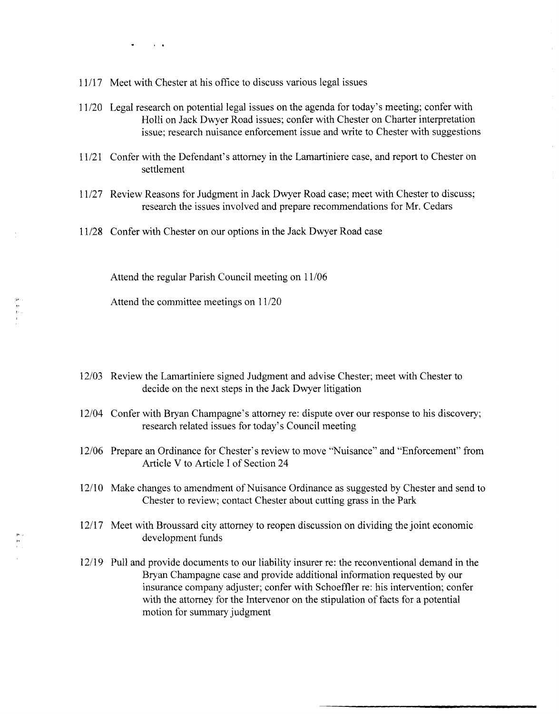11/17 Meet with Chester at his office to discuss various legal issues

**Contract Contract** 

- 11/20 Legal research on potential legal issues on the agenda for today's meeting; confer with Holli on Jack Dwyer Road issues; confer with Chester on Charter interpretation issue; research nuisance enforcement issue and write to Chester with suggestions
- 11/21 Confer with the Defendant's attorney in the Lamartiniere case, and report to Chester on settlement
- 11/27 Review Reasons for Judgment in Jack Dwyer Road case; meet with Chester to discuss; research the issues involved and prepare recommendations for Mr. Cedars
- 11/28 Confer with Chester on our options in the Jack Dwyer Road case

Attend the regular Parish Council meeting on 11/06

Attend the committee meetings on 11/20

御行 むす

 $\frac{16}{3}$ 

- 12/03 Review the Lamartiniere signed Judgment and advise Chester; meet with Chester to decide on the next steps in the Jack Dwyer litigation
- 12/04 Confer with Bryan Champagne's attorney re: dispute over our response to his discovery; research related issues for today's Council meeting
- 12/06 Prepare an Ordinance for Chester's review to move "Nuisance" and "Enforcement" from Article V to Article I of Section 24
- 12/10 Make changes to amendment of Nuisance Ordinance as suggested by Chester and send to Chester to review; contact Chester about cutting grass in the Park
- 12/17 Meet with Broussard city attorney to reopen discussion on dividing the joint economic development funds
- 12/19 Pull and provide documents to our liability insurer re: the reconventional demand in the Bryan Champagne case and provide additional information requested by our insurance company adjuster; confer with Schoeffler re: his intervention; confer with the attorney for the Intervenor on the stipulation of facts for a potential motion for summary judgment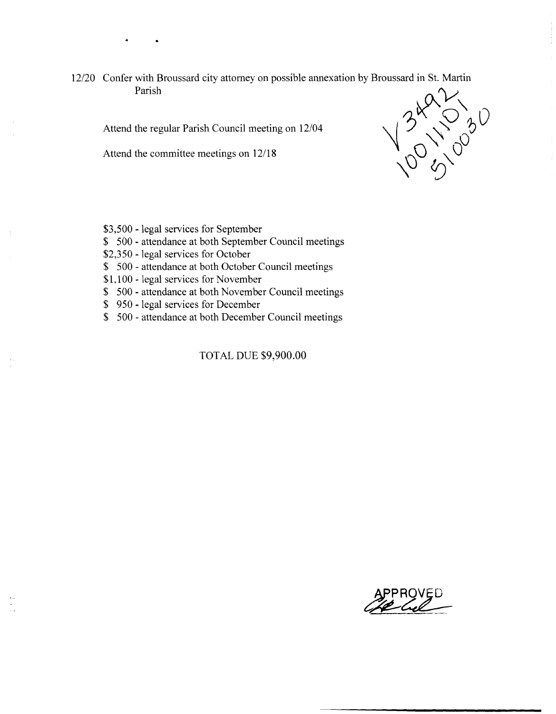12/20 Confer with Broussard city attorney on possible annexation by Broussard in St. Martin Parish

Attend the regular Parish Council meeting on 12/04

Attend the committee meetings on 12/18

 $\blacktriangleleft$ 

 $\begin{array}{c} 0.1 \\ 0.1 \\ 0.2 \end{array}$ 



- \$3,500 legal services for September
- \$ 500 attendance at both September Council meetings
- \$2,350 legal services for October
- \$ 500 attendance at both October Council meetings
- \$1, 100 legal services for November
- \$ 500 attendance at both November Council meetings
- \$ 950 legal services for December
- \$ 500 attendance at both December Council meetings

TOTAL DUE \$9,900.00

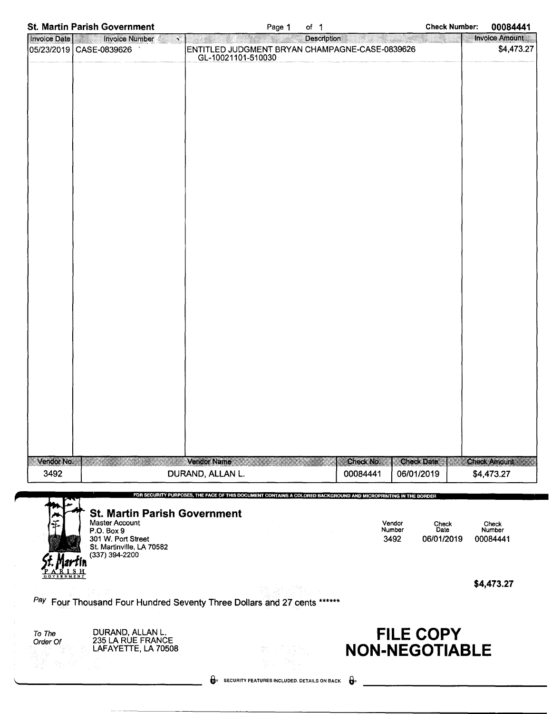| <b>St. Martin Parish Government</b>                                      | Page 1                                                                                                         | of $1$                         | <b>Check Number:</b> | 00084441              |
|--------------------------------------------------------------------------|----------------------------------------------------------------------------------------------------------------|--------------------------------|----------------------|-----------------------|
| <b>Invoice Date</b><br><b>Invoice Number</b><br>X.                       |                                                                                                                | <b>Description</b>             |                      | <b>Invoice Amount</b> |
| 05/23/2019 CASE-0839626                                                  | ENTITLED JUDGMENT BRYAN CHAMPAGNE-CASE-0839626                                                                 |                                |                      | \$4,473.27            |
|                                                                          | GL-10021101-510030                                                                                             |                                |                      |                       |
|                                                                          |                                                                                                                |                                |                      |                       |
|                                                                          |                                                                                                                |                                |                      |                       |
|                                                                          |                                                                                                                |                                |                      |                       |
|                                                                          |                                                                                                                |                                |                      |                       |
|                                                                          |                                                                                                                |                                |                      |                       |
|                                                                          |                                                                                                                |                                |                      |                       |
|                                                                          |                                                                                                                |                                |                      |                       |
|                                                                          |                                                                                                                |                                |                      |                       |
|                                                                          |                                                                                                                |                                |                      |                       |
|                                                                          |                                                                                                                |                                |                      |                       |
|                                                                          |                                                                                                                |                                |                      |                       |
|                                                                          |                                                                                                                |                                |                      |                       |
|                                                                          |                                                                                                                |                                |                      |                       |
|                                                                          |                                                                                                                |                                |                      |                       |
|                                                                          |                                                                                                                |                                |                      |                       |
|                                                                          |                                                                                                                |                                |                      |                       |
|                                                                          |                                                                                                                |                                |                      |                       |
|                                                                          |                                                                                                                |                                |                      |                       |
|                                                                          |                                                                                                                |                                |                      |                       |
|                                                                          |                                                                                                                |                                |                      |                       |
|                                                                          |                                                                                                                |                                |                      |                       |
|                                                                          |                                                                                                                |                                |                      |                       |
|                                                                          |                                                                                                                |                                |                      |                       |
|                                                                          |                                                                                                                |                                |                      |                       |
|                                                                          |                                                                                                                |                                |                      |                       |
|                                                                          |                                                                                                                |                                |                      |                       |
|                                                                          |                                                                                                                |                                |                      |                       |
|                                                                          |                                                                                                                |                                |                      |                       |
|                                                                          |                                                                                                                |                                |                      |                       |
|                                                                          |                                                                                                                |                                |                      |                       |
|                                                                          |                                                                                                                |                                |                      |                       |
|                                                                          |                                                                                                                |                                |                      |                       |
|                                                                          |                                                                                                                |                                |                      |                       |
|                                                                          |                                                                                                                |                                |                      |                       |
|                                                                          |                                                                                                                |                                |                      |                       |
| Vendor No.                                                               | <b>Vendor Name</b>                                                                                             | Check No.<br><b>Check Date</b> |                      | <b>Check Amount</b>   |
| 3492                                                                     | DURAND, ALLAN L.                                                                                               | 00084441<br>06/01/2019         |                      | \$4,473.27            |
|                                                                          |                                                                                                                |                                |                      |                       |
|                                                                          | FOR SECURITY PURPOSES, THE FACE OF THIS DOCUMENT CONTAINS A COLORED BACKGROUND AND MICROPRINTING IN THE BORDER |                                |                      |                       |
| <b>St. Martin Parish Government</b>                                      |                                                                                                                |                                |                      |                       |
| Master Account                                                           |                                                                                                                | Vendor                         | Check<br>Date        | Check                 |
| P.O. Box 9                                                               |                                                                                                                | Number                         |                      | Number                |
| 301 W. Port Street<br>St. Martinville, LA 70582                          |                                                                                                                | 3492                           | 06/01/2019           | 00084441              |
| (337) 394-2200                                                           |                                                                                                                |                                |                      |                       |
|                                                                          |                                                                                                                |                                |                      |                       |
| <b>COVERNMENT</b>                                                        |                                                                                                                |                                |                      |                       |
|                                                                          |                                                                                                                |                                |                      | \$4,473.27            |
| Pay Four Thousand Four Hundred Seventy Three Dollars and 27 cents ****** |                                                                                                                |                                |                      |                       |
|                                                                          |                                                                                                                |                                |                      |                       |
|                                                                          |                                                                                                                |                                |                      |                       |
| DURAND, ALLAN L.<br>To The                                               |                                                                                                                | <b>FILE COPY</b>               |                      |                       |
| 235 LA RÚE FRANCE<br>Order Of<br>LAFAYETTE, LA 70508                     |                                                                                                                | <b>NON-NEGOTIABLE</b>          |                      |                       |
|                                                                          |                                                                                                                |                                |                      |                       |
|                                                                          |                                                                                                                |                                |                      |                       |
|                                                                          | н.<br>SECURITY FEATURES INCLUDED. DETAILS ON BACK                                                              | $\mathbf{e}$                   |                      |                       |
|                                                                          |                                                                                                                |                                |                      |                       |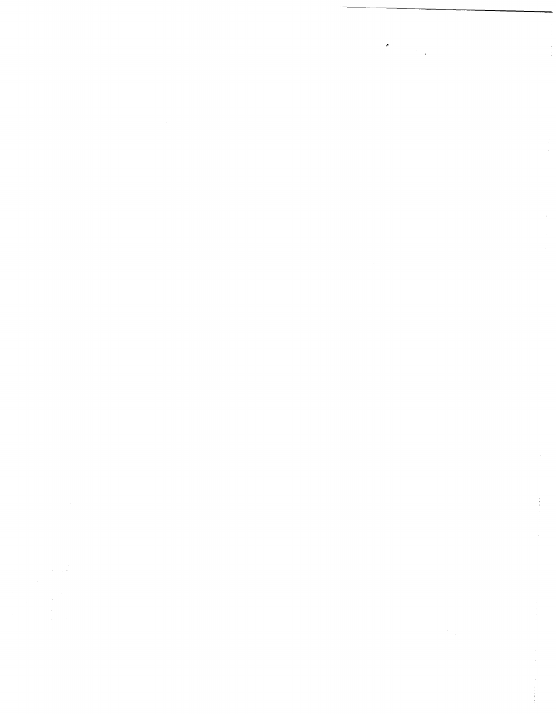$\label{eq:2.1} \frac{1}{\sqrt{2}}\left(\frac{1}{\sqrt{2}}\right)^{2} \left(\frac{1}{\sqrt{2}}\right)^{2} \left(\frac{1}{\sqrt{2}}\right)^{2} \left(\frac{1}{\sqrt{2}}\right)^{2} \left(\frac{1}{\sqrt{2}}\right)^{2} \left(\frac{1}{\sqrt{2}}\right)^{2} \left(\frac{1}{\sqrt{2}}\right)^{2} \left(\frac{1}{\sqrt{2}}\right)^{2} \left(\frac{1}{\sqrt{2}}\right)^{2} \left(\frac{1}{\sqrt{2}}\right)^{2} \left(\frac{1}{\sqrt{2}}\right)^{2} \left(\$ 

 $\label{eq:2.1} \frac{d\mathbf{x}}{d\mathbf{x}} = \frac{d\mathbf{x}}{d\mathbf{x}} + \frac{d\mathbf{x}}{d\mathbf{x}} + \frac{d\mathbf{x}}{d\mathbf{x}} + \frac{d\mathbf{x}}{d\mathbf{x}} + \frac{d\mathbf{x}}{d\mathbf{x}} + \frac{d\mathbf{x}}{d\mathbf{x}} + \frac{d\mathbf{x}}{d\mathbf{x}} + \frac{d\mathbf{x}}{d\mathbf{x}} + \frac{d\mathbf{x}}{d\mathbf{x}} + \frac{d\mathbf{x}}{d\mathbf{x}} + \frac{d\mathbf{x}}{d\mathbf{x}} + \frac{d\mathbf$ 

 $\label{eq:2} \mathcal{E} = \frac{1}{2} \sum_{i=1}^n \frac{1}{2} \sum_{j=1}^n \frac{1}{2} \sum_{j=1}^n \frac{1}{2} \sum_{j=1}^n \frac{1}{2} \sum_{j=1}^n \frac{1}{2} \sum_{j=1}^n \frac{1}{2} \sum_{j=1}^n \frac{1}{2} \sum_{j=1}^n \frac{1}{2} \sum_{j=1}^n \frac{1}{2} \sum_{j=1}^n \frac{1}{2} \sum_{j=1}^n \frac{1}{2} \sum_{j=1}^n \frac{1}{2} \sum_{j=1}$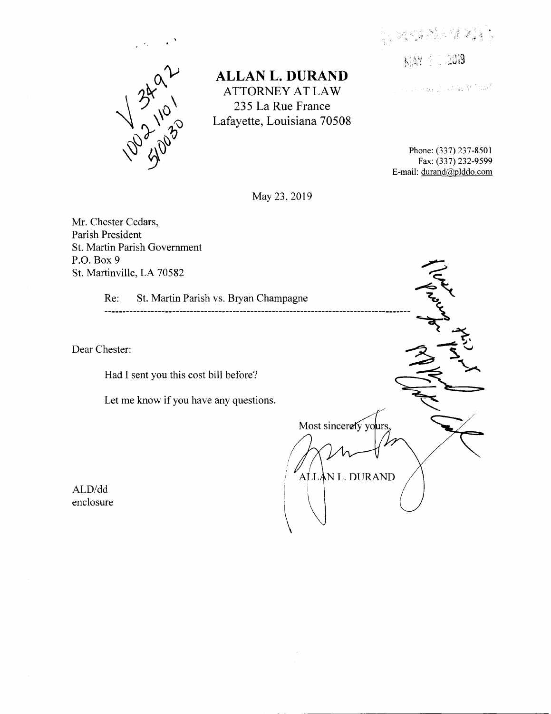13492

**ALLAN L. DURAND**  ATTORNEY ATLAW 235 La Rue France Lafayette, Louisiana 70508

水性地体系

**MAY 2 J 2019** 

 $\mathcal{L}^{\mathcal{L}}$  , and the size of the state of the state  $\mathcal{L}^{\mathcal{L}}$ 

Phone: (337) 237-8501 Fax: (337) 232-9599 E-mail: durand@plddo.com

May 23, 2019

Mr. Chester Cedars, Parish President St. Martin Parish Government P.O. Box 9 St. Martinville, LA 70582

> Re: St. Martin Parish vs. Bryan Champagne ---------

Dear Chester:

Had I sent you this cost bill before?

Let me know if you have any questions.

ALD/dd enclosure

Most sincerely yours ALLAN L. DURAND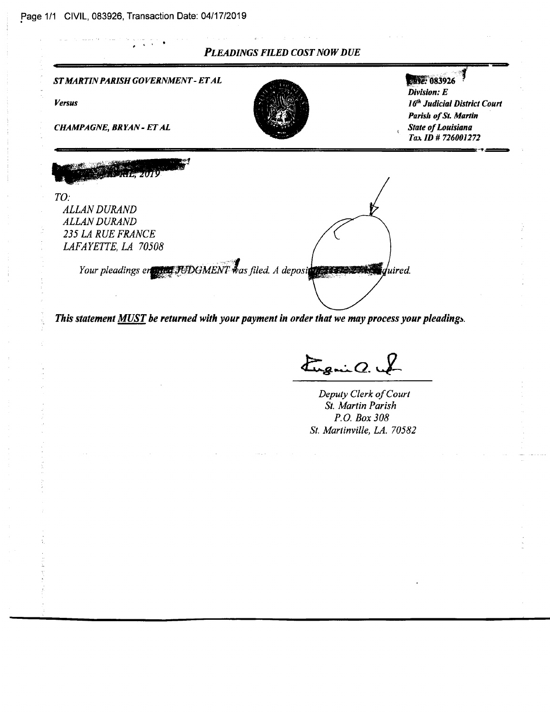

Eugni a. uf

*Deputy Clerk of Court St. Martin Parish P.O. Box 308 St. Martinville, LA. 70582*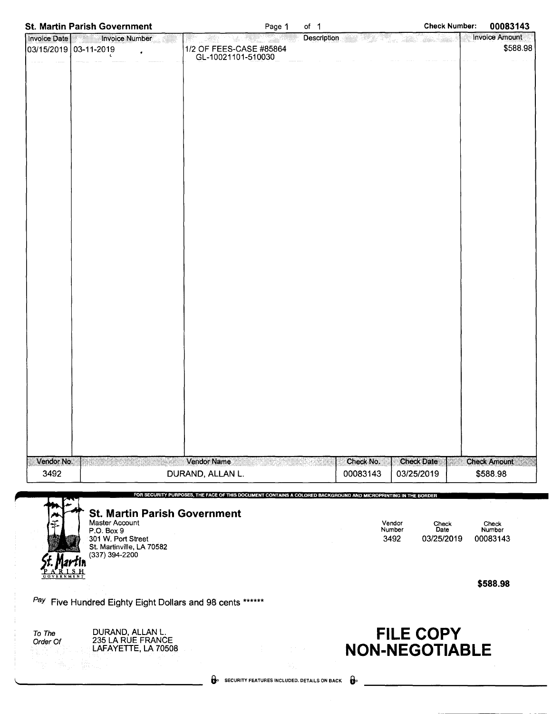| <b>St. Martin Parish Government</b>          | Page 1                                        | of $1$                         | <b>Check Number:</b> | 00083143              |
|----------------------------------------------|-----------------------------------------------|--------------------------------|----------------------|-----------------------|
| <b>Invoice Date</b><br><b>Invoice Number</b> |                                               | <b>Description Description</b> | The Ship             | <b>Invoice Amount</b> |
| 03/15/2019 03-11-2019<br>¥.                  | 1/2 OF FEES-CASE #85864<br>GL-10021101-510030 |                                |                      | \$588.98              |
|                                              |                                               |                                |                      |                       |
|                                              |                                               |                                |                      |                       |
|                                              |                                               |                                |                      |                       |
|                                              |                                               |                                |                      |                       |
|                                              |                                               |                                |                      |                       |
|                                              |                                               |                                |                      |                       |
|                                              |                                               |                                |                      |                       |
|                                              |                                               |                                |                      |                       |
|                                              |                                               |                                |                      |                       |
|                                              |                                               |                                |                      |                       |
|                                              |                                               |                                |                      |                       |
|                                              |                                               |                                |                      |                       |
|                                              |                                               |                                |                      |                       |
|                                              |                                               |                                |                      |                       |
|                                              |                                               |                                |                      |                       |
|                                              |                                               |                                |                      |                       |
|                                              |                                               |                                |                      |                       |
|                                              |                                               |                                |                      |                       |
|                                              |                                               |                                |                      |                       |
|                                              |                                               |                                |                      |                       |
|                                              |                                               |                                |                      |                       |
|                                              |                                               |                                |                      |                       |
|                                              |                                               |                                |                      |                       |
|                                              |                                               |                                |                      |                       |
|                                              |                                               |                                |                      |                       |
| Vendor No.                                   | <b>Vendor Name</b>                            | Check No.                      | <b>Check Date</b>    | <b>Check Amount</b>   |
| 3492                                         | DURAND, ALLAN L.                              | 00083143                       | 03/25/2019           | \$588.98              |

overnment Master Account P.O. Box 9<br>301 W. Port Street

Vendor Check<br>Date Number 3492 03/25/2019

Check<br>Number 00083143

\$588.98

Pay Five Hundred Eighty Eight Dollars and 98 cents \*\*\*\*\*\*

To The Order Of DURAND, ALLAN L.<br>235 LA RUE FRANCE<br>LAFAYETTE, LA 70508

St. Martinville, LA 70582<br>(337) 394-2200

# FILE COPY<br>NON-NEGOTIABLE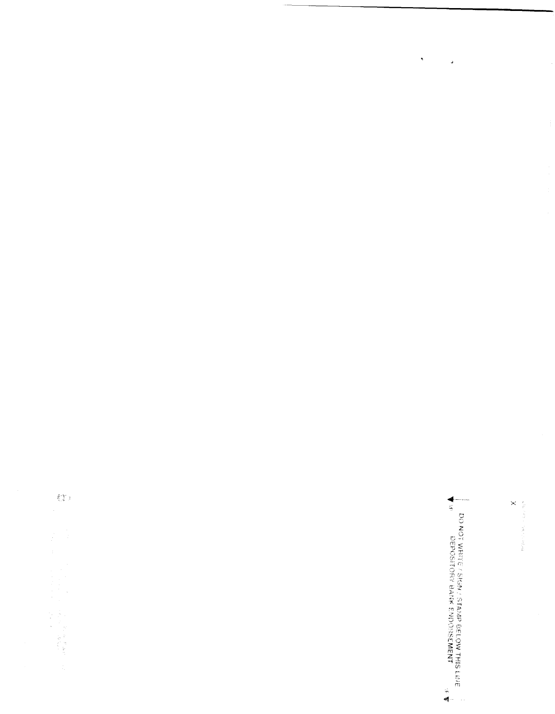# 

 $\langle \hat{\xi}^{\dagger} \hat{\xi}^{\dagger} \rangle$ 

**ECONOT WERGE / SIGN/ STAMP BELOW THIS LINE** 

 $\label{eq:K} \mathbf{X}$  where  $\mathcal{P}(\mathbf{y})$  is the set of the set of

 $\tilde{\mathbf{x}}$ 

 $\frac{1}{2}$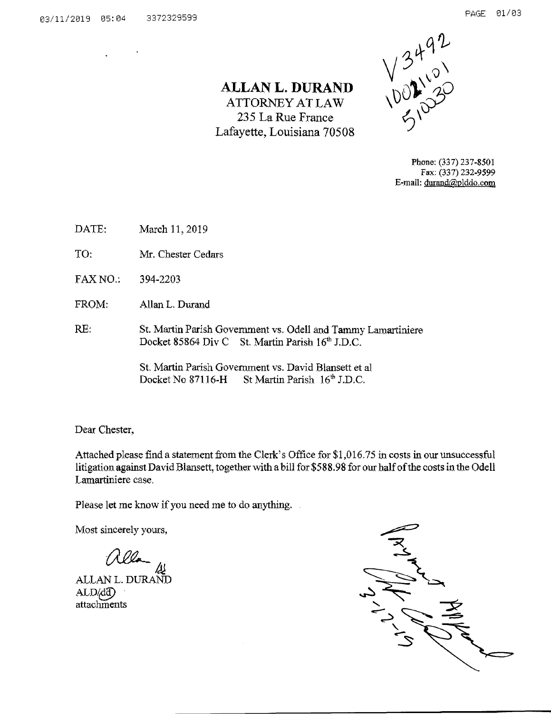### **ALLAN L. DURAND**

ATTORNEY AT LAW 235 La Rue France Lafayette, Louisiana 70508



Phone: (337) 237-8501 Fax: (337) 232-9599 E-mail: durand@plddo.com

DATE: March 11, 2019

TO: Mr. Chester Cedars

FAX NO.: 394-2203

- FROM: Allan L. Durand
- RE: St. Martin Parish Government vs. Odell and Tammy Lamartiniere Docket 85864 Div C St. Martin Parish 16th J.D.C.

St. Martin Parish Government vs. David Blansett et al Docket No 87116-H St Martin Parish 16<sup>th</sup> J.D.C.

Dear Chester,

Attached please find a statement from the Clerk's Office for \$1,016.75 in costs in our unsuccessful litigation against David Blansett, together with a bill for \$5 8 8. 98 for our half of the costs in the Odell Lamartiniere case.

Please let me know if you need me to do anything.

Most sincerely yours,

 $\alpha$ lla  $_{41}$ 

ALLAN L. DURAND  $ALD/dd$ attachments

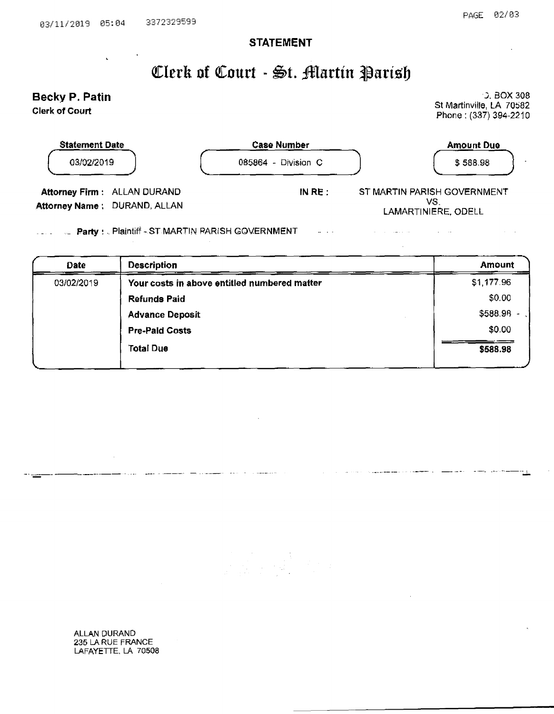### **STATEMENT**

### Clerk of Court - St. Martin Parish

## **Becky P. Patin**

**Clerk of Court** 

J. BOX 308 St Martinville, LA 70582 Phone: (337) 394-2210



 $\sim$   $\sim$   $\sim$ 

LAMARTINIERE, ODELL

**L. Party : . Plaintiff - ST MARTIN PARISH GOVERNMENT** 

| <b>Date</b> | <b>Description</b>                           | <b>Amount</b> |
|-------------|----------------------------------------------|---------------|
| 03/02/2019  | Your costs in above entitled numbered matter | \$1,177.96    |
|             | <b>Refunds Paid</b>                          | \$0.00        |
|             | <b>Advance Deposit</b>                       | $$588.98 -$   |
|             | <b>Pre-Paid Costs</b>                        | \$0.00        |
|             | <b>Total Due</b>                             | \$588.98      |
|             |                                              |               |

ALLAN DURAND 235 LA RUE FRANCE LAFAYETTE. LA 70508